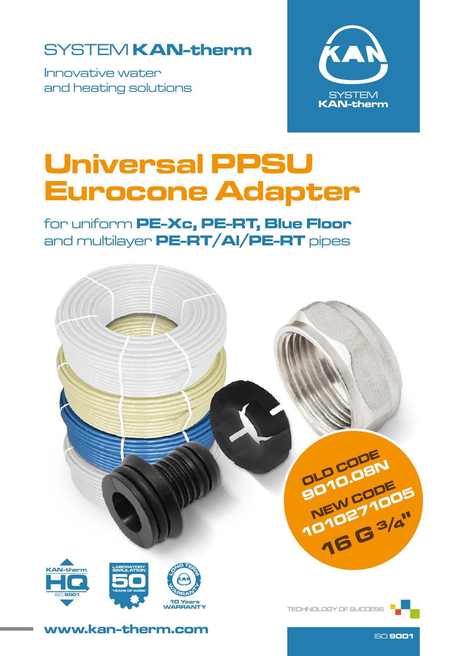### SYSTEM KAN-therm

Innovative water and heating solutions



## Universal PPSU Eurocone Adapter

for uniform PE-Xc, PE-RT, Blue Floor and multilayer PE-RT/Al/PE-RT pipes



www.kan-therm.com

ISO 9001